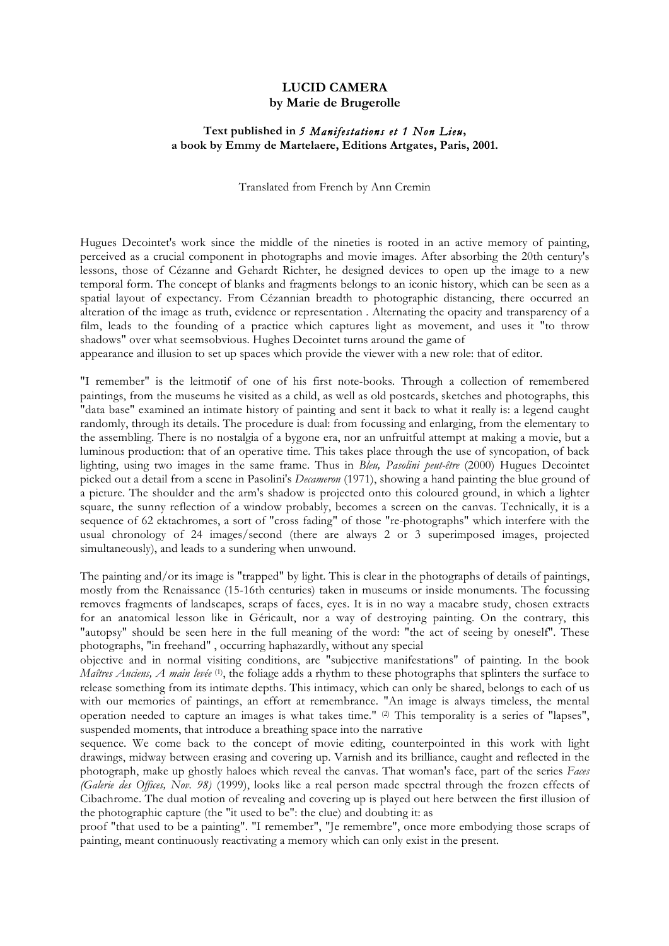## **LUCID CAMERA by Marie de Brugerolle**

## **Text published in** *5 Manifestations et 1 Non Lieu***, a book by Emmy de Martelaere, Editions Artgates, Paris, 2001.**

Translated from French by Ann Cremin

Hugues Decointet's work since the middle of the nineties is rooted in an active memory of painting, perceived as a crucial component in photographs and movie images. After absorbing the 20th century's lessons, those of Cézanne and Gehardt Richter, he designed devices to open up the image to a new temporal form. The concept of blanks and fragments belongs to an iconic history, which can be seen as a spatial layout of expectancy. From Cézannian breadth to photographic distancing, there occurred an alteration of the image as truth, evidence or representation . Alternating the opacity and transparency of a film, leads to the founding of a practice which captures light as movement, and uses it "to throw shadows" over what seemsobvious. Hughes Decointet turns around the game of

appearance and illusion to set up spaces which provide the viewer with a new role: that of editor.

"I remember" is the leitmotif of one of his first note-books. Through a collection of remembered paintings, from the museums he visited as a child, as well as old postcards, sketches and photographs, this "data base" examined an intimate history of painting and sent it back to what it really is: a legend caught randomly, through its details. The procedure is dual: from focussing and enlarging, from the elementary to the assembling. There is no nostalgia of a bygone era, nor an unfruitful attempt at making a movie, but a luminous production: that of an operative time. This takes place through the use of syncopation, of back lighting, using two images in the same frame. Thus in *Bleu, Pasolini peut-être* (2000) Hugues Decointet picked out a detail from a scene in Pasolini's *Decameron* (1971), showing a hand painting the blue ground of a picture. The shoulder and the arm's shadow is projected onto this coloured ground, in which a lighter square, the sunny reflection of a window probably, becomes a screen on the canvas. Technically, it is a sequence of 62 ektachromes, a sort of "cross fading" of those "re-photographs" which interfere with the usual chronology of 24 images/second (there are always 2 or 3 superimposed images, projected simultaneously), and leads to a sundering when unwound.

The painting and/or its image is "trapped" by light. This is clear in the photographs of details of paintings, mostly from the Renaissance (15-16th centuries) taken in museums or inside monuments. The focussing removes fragments of landscapes, scraps of faces, eyes. It is in no way a macabre study, chosen extracts for an anatomical lesson like in Géricault, nor a way of destroying painting. On the contrary, this "autopsy" should be seen here in the full meaning of the word: "the act of seeing by oneself". These photographs, "in freehand" , occurring haphazardly, without any special

objective and in normal visiting conditions, are "subjective manifestations" of painting. In the book *Maîtres Anciens, A main levée* (1) , the foliage adds a rhythm to these photographs that splinters the surface to release something from its intimate depths. This intimacy, which can only be shared, belongs to each of us with our memories of paintings, an effort at remembrance. "An image is always timeless, the mental operation needed to capture an images is what takes time." (2) This temporality is a series of "lapses", suspended moments, that introduce a breathing space into the narrative

sequence. We come back to the concept of movie editing, counterpointed in this work with light drawings, midway between erasing and covering up. Varnish and its brilliance, caught and reflected in the photograph, make up ghostly haloes which reveal the canvas. That woman's face, part of the series *Faces (Galerie des Offices, Nov. 98)* (1999), looks like a real person made spectral through the frozen effects of Cibachrome. The dual motion of revealing and covering up is played out here between the first illusion of the photographic capture (the "it used to be": the clue) and doubting it: as

proof "that used to be a painting". "I remember", "Je remembre", once more embodying those scraps of painting, meant continuously reactivating a memory which can only exist in the present.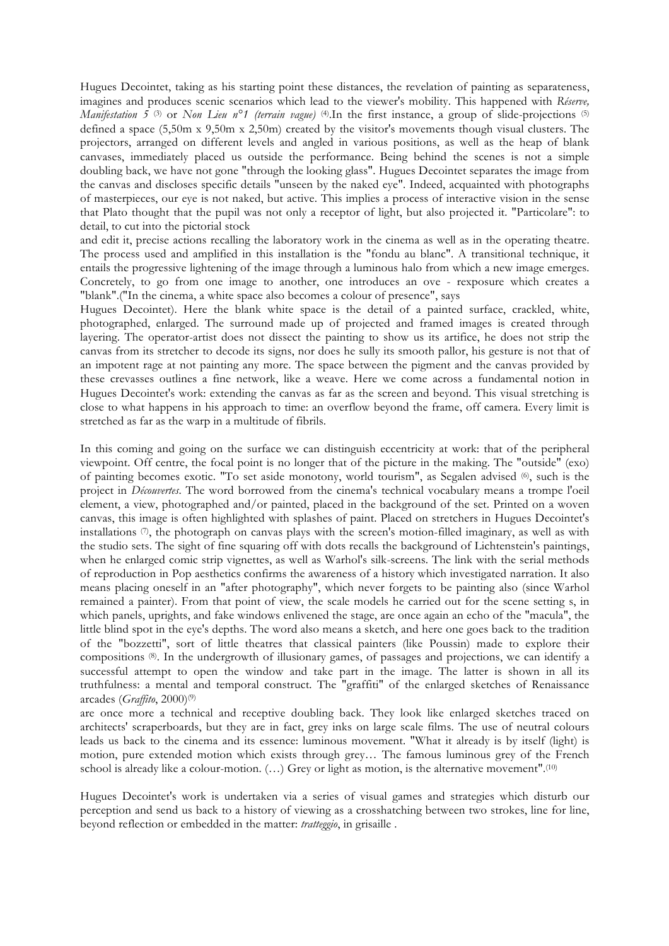Hugues Decointet, taking as his starting point these distances, the revelation of painting as separateness, imagines and produces scenic scenarios which lead to the viewer's mobility. This happened with *Réserve, Manifestation 5* (3) or *Non Lieu n<sup>o</sup>1* (terrain vague) (4). In the first instance, a group of slide-projections (5) defined a space (5,50m x 9,50m x 2,50m) created by the visitor's movements though visual clusters. The projectors, arranged on different levels and angled in various positions, as well as the heap of blank canvases, immediately placed us outside the performance. Being behind the scenes is not a simple doubling back, we have not gone "through the looking glass". Hugues Decointet separates the image from the canvas and discloses specific details "unseen by the naked eye". Indeed, acquainted with photographs of masterpieces, our eye is not naked, but active. This implies a process of interactive vision in the sense that Plato thought that the pupil was not only a receptor of light, but also projected it. "Particolare": to detail, to cut into the pictorial stock

and edit it, precise actions recalling the laboratory work in the cinema as well as in the operating theatre. The process used and amplified in this installation is the "fondu au blanc". A transitional technique, it entails the progressive lightening of the image through a luminous halo from which a new image emerges. Concretely, to go from one image to another, one introduces an ove - rexposure which creates a "blank".("In the cinema, a white space also becomes a colour of presence", says

Hugues Decointet). Here the blank white space is the detail of a painted surface, crackled, white, photographed, enlarged. The surround made up of projected and framed images is created through layering. The operator-artist does not dissect the painting to show us its artifice, he does not strip the canvas from its stretcher to decode its signs, nor does he sully its smooth pallor, his gesture is not that of an impotent rage at not painting any more. The space between the pigment and the canvas provided by these crevasses outlines a fine network, like a weave. Here we come across a fundamental notion in Hugues Decointet's work: extending the canvas as far as the screen and beyond. This visual stretching is close to what happens in his approach to time: an overflow beyond the frame, off camera. Every limit is stretched as far as the warp in a multitude of fibrils.

In this coming and going on the surface we can distinguish eccentricity at work: that of the peripheral viewpoint. Off centre, the focal point is no longer that of the picture in the making. The "outside" (exo) of painting becomes exotic. "To set aside monotony, world tourism", as Segalen advised (6) , such is the project in *Découvertes*. The word borrowed from the cinema's technical vocabulary means a trompe l'oeil element, a view, photographed and/or painted, placed in the background of the set. Printed on a woven canvas, this image is often highlighted with splashes of paint. Placed on stretchers in Hugues Decointet's installations  $\emptyset$ , the photograph on canvas plays with the screen's motion-filled imaginary, as well as with the studio sets. The sight of fine squaring off with dots recalls the background of Lichtenstein's paintings, when he enlarged comic strip vignettes, as well as Warhol's silk-screens. The link with the serial methods of reproduction in Pop aesthetics confirms the awareness of a history which investigated narration. It also means placing oneself in an "after photography", which never forgets to be painting also (since Warhol remained a painter). From that point of view, the scale models he carried out for the scene setting s, in which panels, uprights, and fake windows enlivened the stage, are once again an echo of the "macula", the little blind spot in the eye's depths. The word also means a sketch, and here one goes back to the tradition of the "bozzetti", sort of little theatres that classical painters (like Poussin) made to explore their compositions (8) . In the undergrowth of illusionary games, of passages and projections, we can identify a successful attempt to open the window and take part in the image. The latter is shown in all its truthfulness: a mental and temporal construct. The "graffiti" of the enlarged sketches of Renaissance arcades (*Graffito*, 2000)(9)

are once more a technical and receptive doubling back. They look like enlarged sketches traced on architects' scraperboards, but they are in fact, grey inks on large scale films. The use of neutral colours leads us back to the cinema and its essence: luminous movement. "What it already is by itself (light) is motion, pure extended motion which exists through grey… The famous luminous grey of the French school is already like a colour-motion.  $(...)$  Grey or light as motion, is the alternative movement".<sup>(10)</sup>

Hugues Decointet's work is undertaken via a series of visual games and strategies which disturb our perception and send us back to a history of viewing as a crosshatching between two strokes, line for line, beyond reflection or embedded in the matter: *tratteggio*, in grisaille .